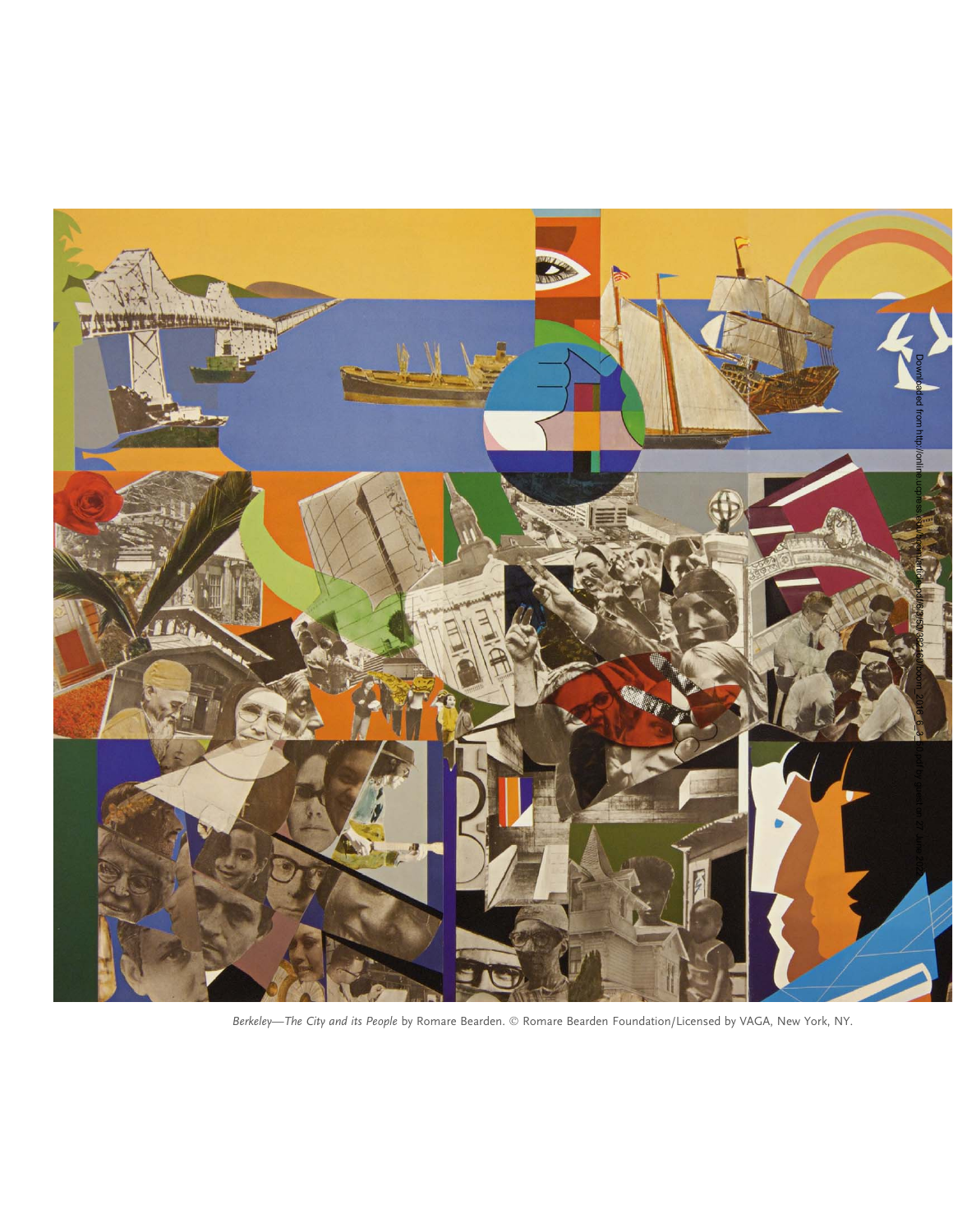

Berkeley—The City and its People by Romare Bearden. © Romare Bearden Foundation/Licensed by VAGA, New York, NY.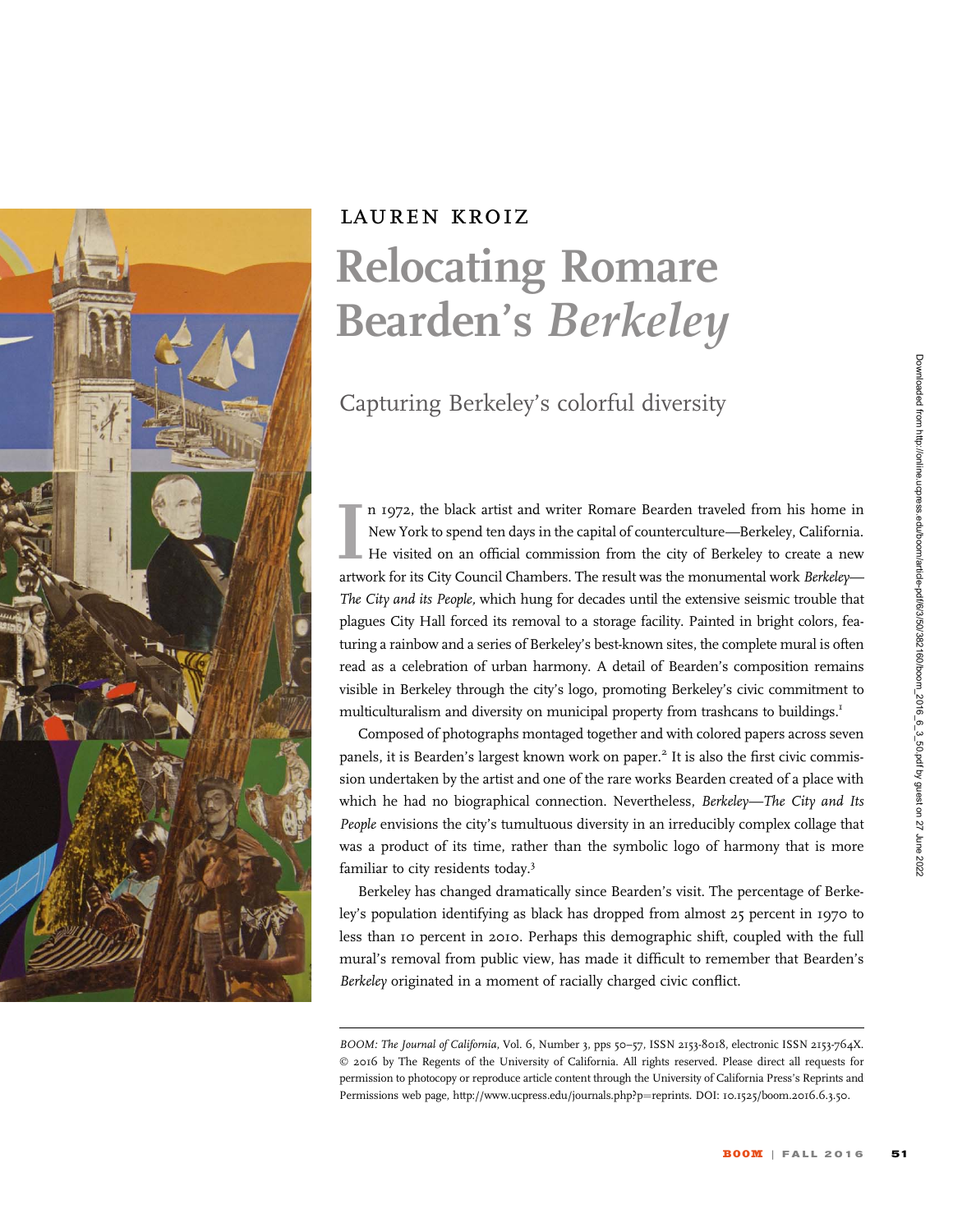

## lauren kroiz Relocating Romare Bearden's Berkeley

Capturing Berkeley's colorful diversity

Im 1972, the black artist and writer Romare Bearden traveled from his home in New York to spend ten days in the capital of counterculture—Berkeley, California.<br>He visited on an official commission from the city of Berkeley n 1972, the black artist and writer Romare Bearden traveled from his home in New York to spend ten days in the capital of counterculture—Berkeley, California. He visited on an official commission from the city of Berkeley to create a new The City and its People, which hung for decades until the extensive seismic trouble that plagues City Hall forced its removal to a storage facility. Painted in bright colors, featuring a rainbow and a series of Berkeley's best-known sites, the complete mural is often read as a celebration of urban harmony. A detail of Bearden's composition remains visible in Berkeley through the city's logo, promoting Berkeley's civic commitment to multiculturalism and diversity on municipal property from trashcans to buildings.<sup>1</sup>

Composed of photographs montaged together and with colored papers across seven panels, it is Bearden's largest known work on paper.<sup>2</sup> It is also the first civic commission undertaken by the artist and one of the rare works Bearden created of a place with which he had no biographical connection. Nevertheless, Berkeley—The City and Its People envisions the city's tumultuous diversity in an irreducibly complex collage that was a product of its time, rather than the symbolic logo of harmony that is more familiar to city residents today.<sup>3</sup>

Berkeley has changed dramatically since Bearden's visit. The percentage of Berkeley's population identifying as black has dropped from almost 25 percent in 1970 to less than 10 percent in 2010. Perhaps this demographic shift, coupled with the full mural's removal from public view, has made it difficult to remember that Bearden's Berkeley originated in a moment of racially charged civic conflict.

BOOM: The Journal of California, Vol. 6, Number 3, pps 50-57, ISSN 2153-8018, electronic ISSN 2153-764X. © 2016 by The Regents of the University of California. All rights reserved. Please direct all requests for permission to photocopy or reproduce article content through the University of California Press's Reprints and Permissions web page, http://www.ucpress.edu/journals.php?p=reprints. DOI: 10.1525/boom.2016.6.3.50.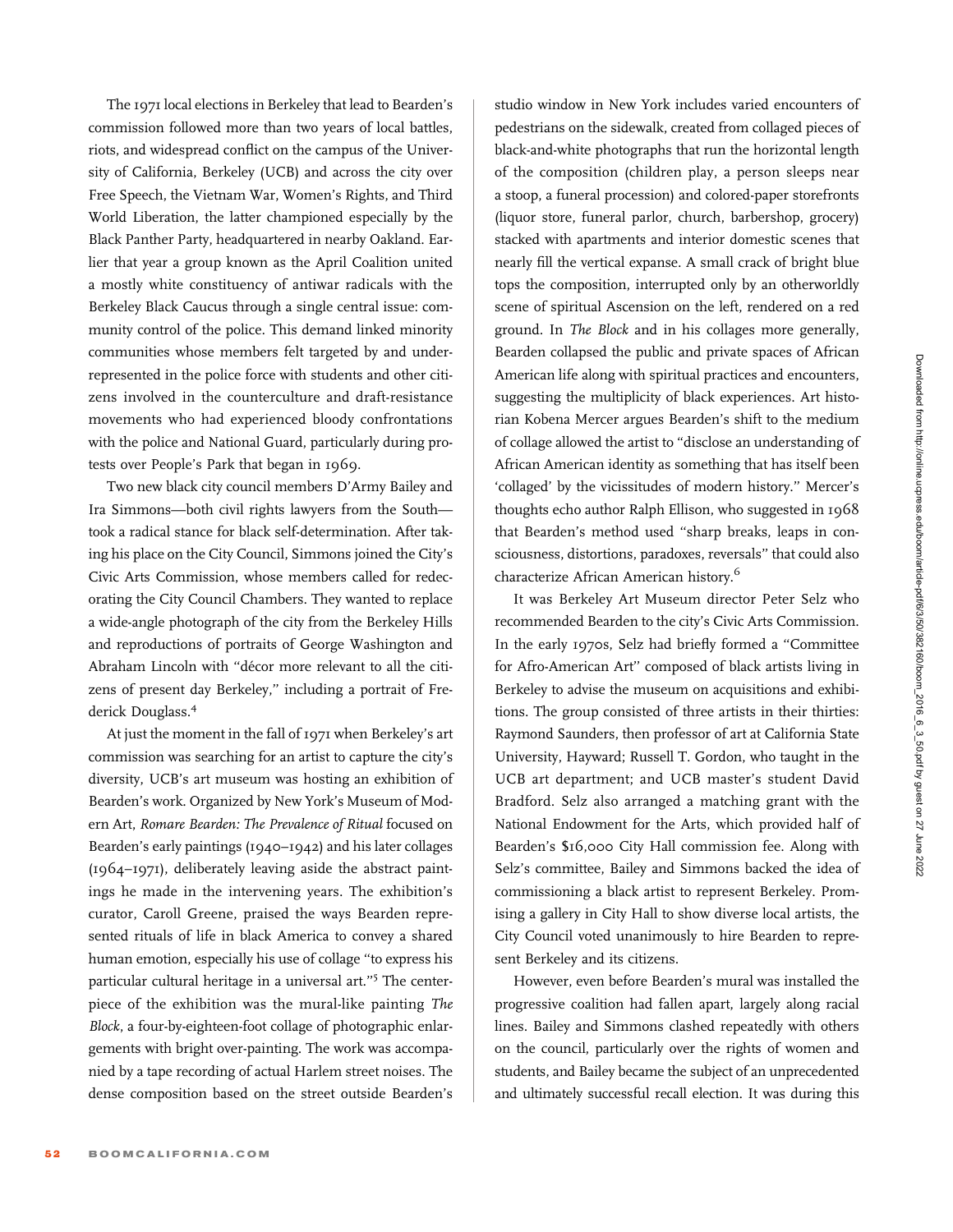The 1971 local elections in Berkeley that lead to Bearden's commission followed more than two years of local battles, riots, and widespread conflict on the campus of the University of California, Berkeley (UCB) and across the city over Free Speech, the Vietnam War, Women's Rights, and Third World Liberation, the latter championed especially by the Black Panther Party, headquartered in nearby Oakland. Earlier that year a group known as the April Coalition united a mostly white constituency of antiwar radicals with the Berkeley Black Caucus through a single central issue: community control of the police. This demand linked minority communities whose members felt targeted by and underrepresented in the police force with students and other citizens involved in the counterculture and draft-resistance movements who had experienced bloody confrontations with the police and National Guard, particularly during protests over People's Park that began in 1969.

Two new black city council members D'Army Bailey and Ira Simmons—both civil rights lawyers from the South took a radical stance for black self-determination. After taking his place on the City Council, Simmons joined the City's Civic Arts Commission, whose members called for redecorating the City Council Chambers. They wanted to replace a wide-angle photograph of the city from the Berkeley Hills and reproductions of portraits of George Washington and Abraham Lincoln with "décor more relevant to all the citizens of present day Berkeley," including a portrait of Frederick Douglass.<sup>4</sup>

At just the moment in the fall of 1971 when Berkeley's art commission was searching for an artist to capture the city's diversity, UCB's art museum was hosting an exhibition of Bearden's work. Organized by New York's Museum of Modern Art, Romare Bearden: The Prevalence of Ritual focused on Bearden's early paintings (1940–1942) and his later collages (1964–1971), deliberately leaving aside the abstract paintings he made in the intervening years. The exhibition's curator, Caroll Greene, praised the ways Bearden represented rituals of life in black America to convey a shared human emotion, especially his use of collage ''to express his particular cultural heritage in a universal art."<sup>5</sup> The centerpiece of the exhibition was the mural-like painting The Block, a four-by-eighteen-foot collage of photographic enlargements with bright over-painting. The work was accompanied by a tape recording of actual Harlem street noises. The dense composition based on the street outside Bearden's

studio window in New York includes varied encounters of pedestrians on the sidewalk, created from collaged pieces of black-and-white photographs that run the horizontal length of the composition (children play, a person sleeps near a stoop, a funeral procession) and colored-paper storefronts (liquor store, funeral parlor, church, barbershop, grocery) stacked with apartments and interior domestic scenes that nearly fill the vertical expanse. A small crack of bright blue tops the composition, interrupted only by an otherworldly scene of spiritual Ascension on the left, rendered on a red ground. In The Block and in his collages more generally, Bearden collapsed the public and private spaces of African American life along with spiritual practices and encounters, suggesting the multiplicity of black experiences. Art historian Kobena Mercer argues Bearden's shift to the medium of collage allowed the artist to ''disclose an understanding of African American identity as something that has itself been 'collaged' by the vicissitudes of modern history.'' Mercer's thoughts echo author Ralph Ellison, who suggested in 1968 that Bearden's method used ''sharp breaks, leaps in consciousness, distortions, paradoxes, reversals'' that could also characterize African American history.<sup>6</sup>

It was Berkeley Art Museum director Peter Selz who recommended Bearden to the city's Civic Arts Commission. In the early 1970s, Selz had briefly formed a ''Committee for Afro-American Art'' composed of black artists living in Berkeley to advise the museum on acquisitions and exhibitions. The group consisted of three artists in their thirties: Raymond Saunders, then professor of art at California State University, Hayward; Russell T. Gordon, who taught in the UCB art department; and UCB master's student David Bradford. Selz also arranged a matching grant with the National Endowment for the Arts, which provided half of Bearden's \$16,000 City Hall commission fee. Along with Selz's committee, Bailey and Simmons backed the idea of commissioning a black artist to represent Berkeley. Promising a gallery in City Hall to show diverse local artists, the City Council voted unanimously to hire Bearden to represent Berkeley and its citizens.

However, even before Bearden's mural was installed the progressive coalition had fallen apart, largely along racial lines. Bailey and Simmons clashed repeatedly with others on the council, particularly over the rights of women and students, and Bailey became the subject of an unprecedented and ultimately successful recall election. It was during this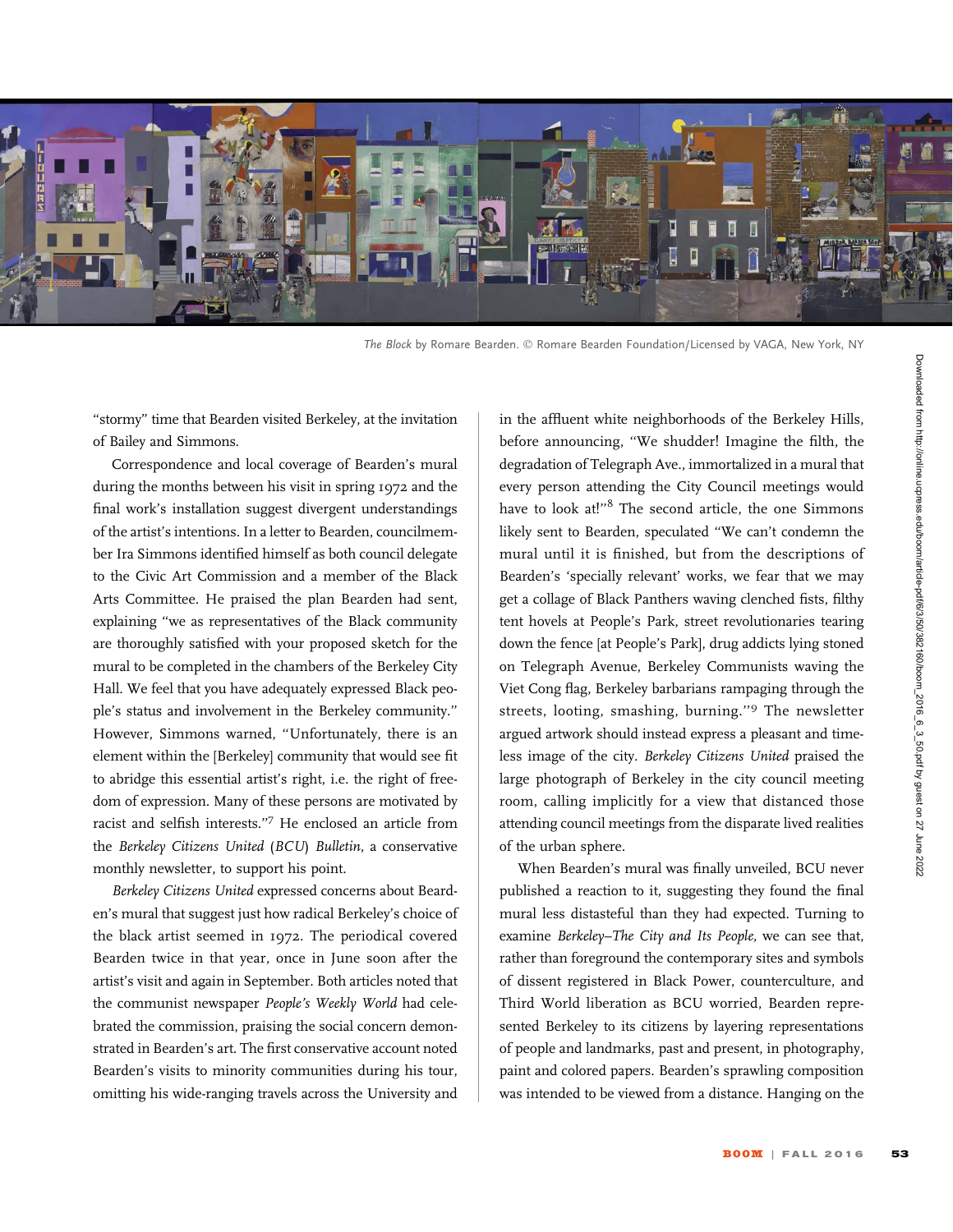

The Block by Romare Bearden. © Romare Bearden Foundation/Licensed by VAGA, New York, NY

''stormy'' time that Bearden visited Berkeley, at the invitation of Bailey and Simmons.

Correspondence and local coverage of Bearden's mural during the months between his visit in spring 1972 and the final work's installation suggest divergent understandings of the artist's intentions. In a letter to Bearden, councilmember Ira Simmons identified himself as both council delegate to the Civic Art Commission and a member of the Black Arts Committee. He praised the plan Bearden had sent, explaining ''we as representatives of the Black community are thoroughly satisfied with your proposed sketch for the mural to be completed in the chambers of the Berkeley City Hall. We feel that you have adequately expressed Black people's status and involvement in the Berkeley community.'' However, Simmons warned, ''Unfortunately, there is an element within the [Berkeley] community that would see fit to abridge this essential artist's right, i.e. the right of freedom of expression. Many of these persons are motivated by racist and selfish interests.''<sup>7</sup> He enclosed an article from the Berkeley Citizens United (BCU) Bulletin, a conservative monthly newsletter, to support his point.

Berkeley Citizens United expressed concerns about Bearden's mural that suggest just how radical Berkeley's choice of the black artist seemed in 1972. The periodical covered Bearden twice in that year, once in June soon after the artist's visit and again in September. Both articles noted that the communist newspaper People's Weekly World had celebrated the commission, praising the social concern demonstrated in Bearden's art. The first conservative account noted Bearden's visits to minority communities during his tour, omitting his wide-ranging travels across the University and

in the affluent white neighborhoods of the Berkeley Hills, before announcing, ''We shudder! Imagine the filth, the degradation of Telegraph Ave., immortalized in a mural that every person attending the City Council meetings would have to look at!"<sup>8</sup> The second article, the one Simmons likely sent to Bearden, speculated ''We can't condemn the mural until it is finished, but from the descriptions of Bearden's 'specially relevant' works, we fear that we may get a collage of Black Panthers waving clenched fists, filthy tent hovels at People's Park, street revolutionaries tearing down the fence [at People's Park], drug addicts lying stoned on Telegraph Avenue, Berkeley Communists waving the Viet Cong flag, Berkeley barbarians rampaging through the streets, looting, smashing, burning.''<sup>9</sup> The newsletter argued artwork should instead express a pleasant and timeless image of the city. Berkeley Citizens United praised the large photograph of Berkeley in the city council meeting room, calling implicitly for a view that distanced those attending council meetings from the disparate lived realities of the urban sphere.

When Bearden's mural was finally unveiled, BCU never published a reaction to it, suggesting they found the final mural less distasteful than they had expected. Turning to examine Berkeley–The City and Its People, we can see that, rather than foreground the contemporary sites and symbols of dissent registered in Black Power, counterculture, and Third World liberation as BCU worried, Bearden represented Berkeley to its citizens by layering representations of people and landmarks, past and present, in photography, paint and colored papers. Bearden's sprawling composition was intended to be viewed from a distance. Hanging on the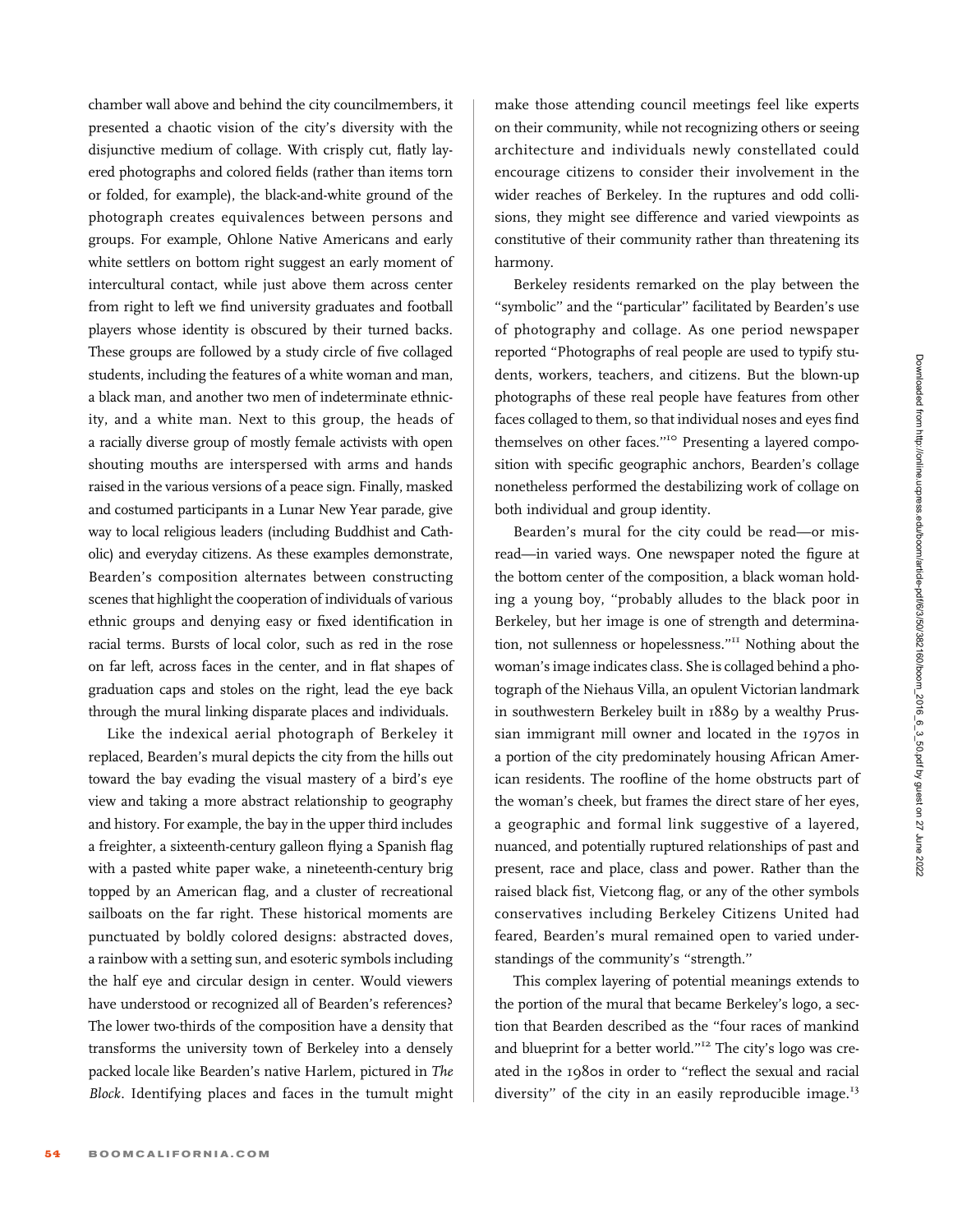chamber wall above and behind the city councilmembers, it presented a chaotic vision of the city's diversity with the disjunctive medium of collage. With crisply cut, flatly layered photographs and colored fields (rather than items torn or folded, for example), the black-and-white ground of the photograph creates equivalences between persons and groups. For example, Ohlone Native Americans and early white settlers on bottom right suggest an early moment of intercultural contact, while just above them across center from right to left we find university graduates and football players whose identity is obscured by their turned backs. These groups are followed by a study circle of five collaged students, including the features of a white woman and man, a black man, and another two men of indeterminate ethnicity, and a white man. Next to this group, the heads of a racially diverse group of mostly female activists with open shouting mouths are interspersed with arms and hands raised in the various versions of a peace sign. Finally, masked and costumed participants in a Lunar New Year parade, give way to local religious leaders (including Buddhist and Catholic) and everyday citizens. As these examples demonstrate, Bearden's composition alternates between constructing scenes that highlight the cooperation of individuals of various ethnic groups and denying easy or fixed identification in racial terms. Bursts of local color, such as red in the rose on far left, across faces in the center, and in flat shapes of graduation caps and stoles on the right, lead the eye back through the mural linking disparate places and individuals.

Like the indexical aerial photograph of Berkeley it replaced, Bearden's mural depicts the city from the hills out toward the bay evading the visual mastery of a bird's eye view and taking a more abstract relationship to geography and history. For example, the bay in the upper third includes a freighter, a sixteenth-century galleon flying a Spanish flag with a pasted white paper wake, a nineteenth-century brig topped by an American flag, and a cluster of recreational sailboats on the far right. These historical moments are punctuated by boldly colored designs: abstracted doves, a rainbow with a setting sun, and esoteric symbols including the half eye and circular design in center. Would viewers have understood or recognized all of Bearden's references? The lower two-thirds of the composition have a density that transforms the university town of Berkeley into a densely packed locale like Bearden's native Harlem, pictured in The Block. Identifying places and faces in the tumult might

make those attending council meetings feel like experts on their community, while not recognizing others or seeing architecture and individuals newly constellated could encourage citizens to consider their involvement in the wider reaches of Berkeley. In the ruptures and odd collisions, they might see difference and varied viewpoints as constitutive of their community rather than threatening its harmony.

Berkeley residents remarked on the play between the "symbolic" and the "particular" facilitated by Bearden's use of photography and collage. As one period newspaper reported ''Photographs of real people are used to typify students, workers, teachers, and citizens. But the blown-up photographs of these real people have features from other faces collaged to them, so that individual noses and eyes find themselves on other faces."<sup>10</sup> Presenting a layered composition with specific geographic anchors, Bearden's collage nonetheless performed the destabilizing work of collage on both individual and group identity.

Bearden's mural for the city could be read—or misread—in varied ways. One newspaper noted the figure at the bottom center of the composition, a black woman holding a young boy, ''probably alludes to the black poor in Berkeley, but her image is one of strength and determination, not sullenness or hopelessness.''<sup>11</sup> Nothing about the woman's image indicates class. She is collaged behind a photograph of the Niehaus Villa, an opulent Victorian landmark in southwestern Berkeley built in 1889 by a wealthy Prussian immigrant mill owner and located in the 1970s in a portion of the city predominately housing African American residents. The roofline of the home obstructs part of the woman's cheek, but frames the direct stare of her eyes, a geographic and formal link suggestive of a layered, nuanced, and potentially ruptured relationships of past and present, race and place, class and power. Rather than the raised black fist, Vietcong flag, or any of the other symbols conservatives including Berkeley Citizens United had feared, Bearden's mural remained open to varied understandings of the community's ''strength.''

This complex layering of potential meanings extends to the portion of the mural that became Berkeley's logo, a section that Bearden described as the ''four races of mankind and blueprint for a better world."<sup>12</sup> The city's logo was created in the 1980s in order to ''reflect the sexual and racial diversity" of the city in an easily reproducible image.<sup>13</sup>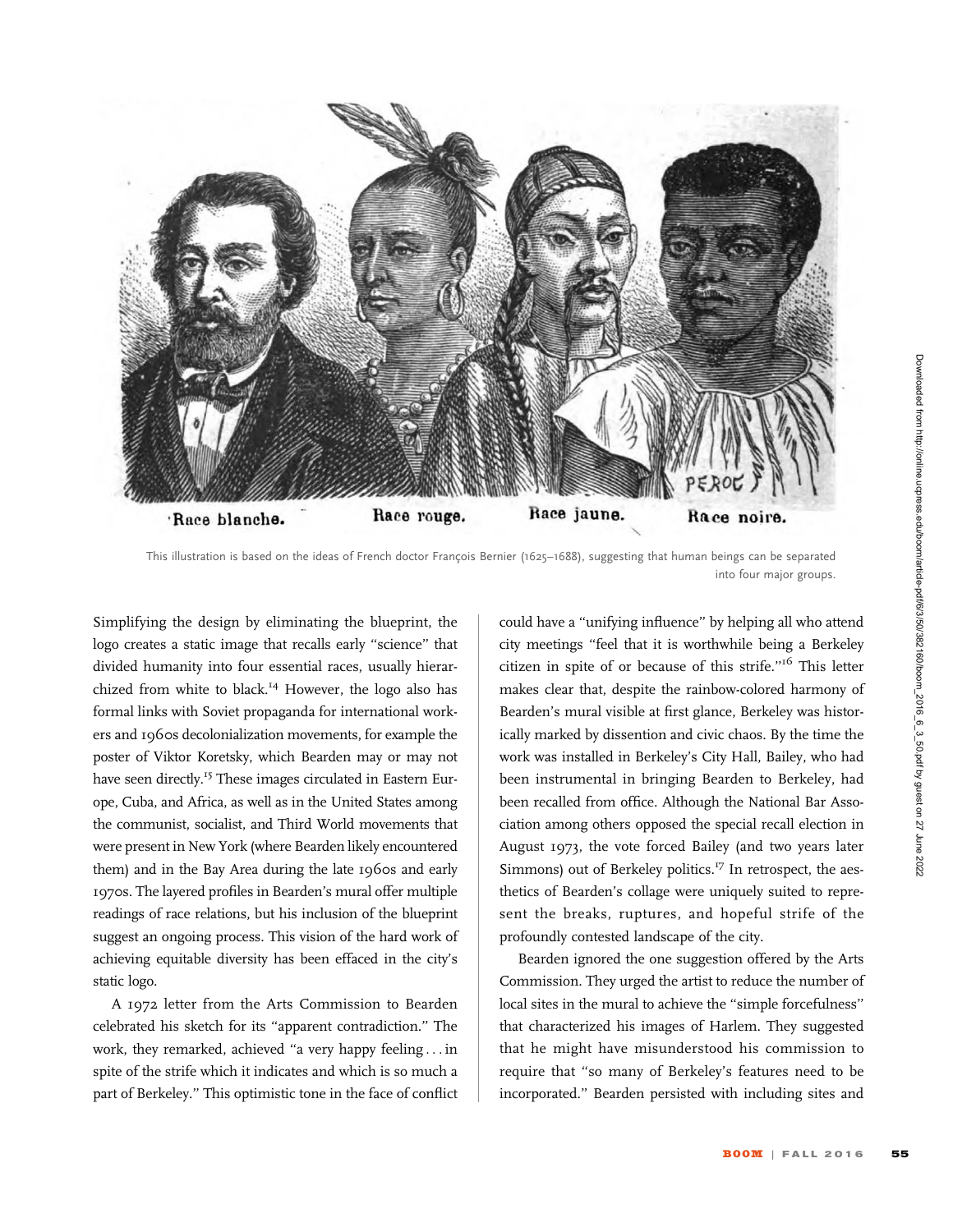

This illustration is based on the ideas of French doctor François Bernier (1625–1688), suggesting that human beings can be separated into four major groups.

Simplifying the design by eliminating the blueprint, the logo creates a static image that recalls early ''science'' that divided humanity into four essential races, usually hierarchized from white to black.<sup>14</sup> However, the logo also has formal links with Soviet propaganda for international workers and 1960s decolonialization movements, for example the poster of Viktor Koretsky, which Bearden may or may not have seen directly.<sup>15</sup> These images circulated in Eastern Europe, Cuba, and Africa, as well as in the United States among the communist, socialist, and Third World movements that were present in New York (where Bearden likely encountered them) and in the Bay Area during the late 1960s and early 1970s. The layered profiles in Bearden's mural offer multiple readings of race relations, but his inclusion of the blueprint suggest an ongoing process. This vision of the hard work of achieving equitable diversity has been effaced in the city's static logo.

A 1972 letter from the Arts Commission to Bearden celebrated his sketch for its ''apparent contradiction.'' The work, they remarked, achieved ''a very happy feeling ... in spite of the strife which it indicates and which is so much a part of Berkeley.'' This optimistic tone in the face of conflict could have a ''unifying influence'' by helping all who attend city meetings ''feel that it is worthwhile being a Berkeley citizen in spite of or because of this strife.''<sup>16</sup> This letter makes clear that, despite the rainbow-colored harmony of Bearden's mural visible at first glance, Berkeley was historically marked by dissention and civic chaos. By the time the work was installed in Berkeley's City Hall, Bailey, who had been instrumental in bringing Bearden to Berkeley, had been recalled from office. Although the National Bar Association among others opposed the special recall election in August 1973, the vote forced Bailey (and two years later Simmons) out of Berkeley politics. $^{17}$  In retrospect, the aesthetics of Bearden's collage were uniquely suited to represent the breaks, ruptures, and hopeful strife of the profoundly contested landscape of the city.

Bearden ignored the one suggestion offered by the Arts Commission. They urged the artist to reduce the number of local sites in the mural to achieve the ''simple forcefulness'' that characterized his images of Harlem. They suggested that he might have misunderstood his commission to require that ''so many of Berkeley's features need to be incorporated.'' Bearden persisted with including sites and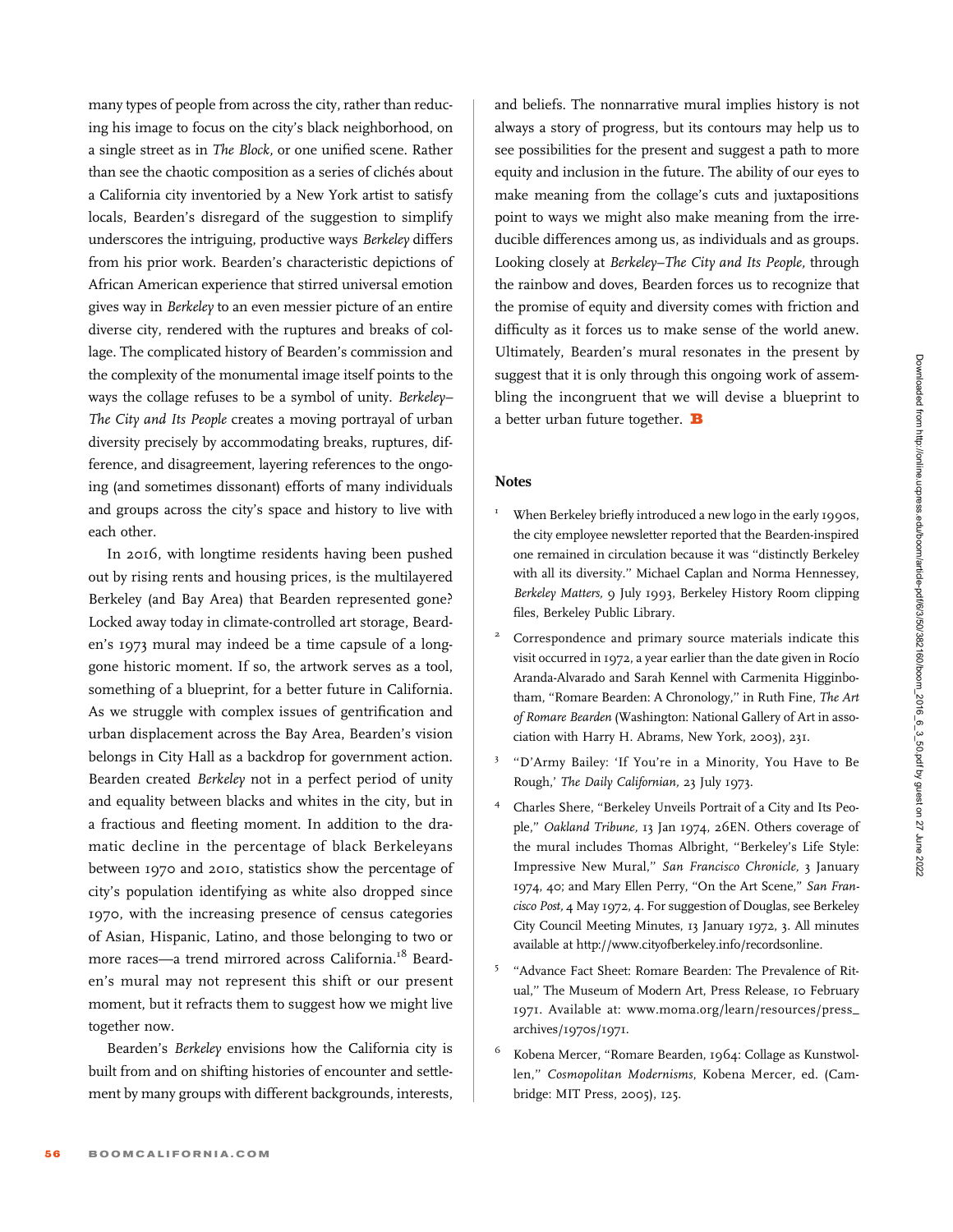many types of people from across the city, rather than reducing his image to focus on the city's black neighborhood, on a single street as in The Block, or one unified scene. Rather than see the chaotic composition as a series of clichés about a California city inventoried by a New York artist to satisfy locals, Bearden's disregard of the suggestion to simplify underscores the intriguing, productive ways Berkeley differs from his prior work. Bearden's characteristic depictions of African American experience that stirred universal emotion gives way in Berkeley to an even messier picture of an entire diverse city, rendered with the ruptures and breaks of collage. The complicated history of Bearden's commission and the complexity of the monumental image itself points to the ways the collage refuses to be a symbol of unity. Berkeley– The City and Its People creates a moving portrayal of urban diversity precisely by accommodating breaks, ruptures, difference, and disagreement, layering references to the ongoing (and sometimes dissonant) efforts of many individuals and groups across the city's space and history to live with each other.

In 2016, with longtime residents having been pushed out by rising rents and housing prices, is the multilayered Berkeley (and Bay Area) that Bearden represented gone? Locked away today in climate-controlled art storage, Bearden's 1973 mural may indeed be a time capsule of a longgone historic moment. If so, the artwork serves as a tool, something of a blueprint, for a better future in California. As we struggle with complex issues of gentrification and urban displacement across the Bay Area, Bearden's vision belongs in City Hall as a backdrop for government action. Bearden created Berkeley not in a perfect period of unity and equality between blacks and whites in the city, but in a fractious and fleeting moment. In addition to the dramatic decline in the percentage of black Berkeleyans between 1970 and 2010, statistics show the percentage of city's population identifying as white also dropped since 1970, with the increasing presence of census categories of Asian, Hispanic, Latino, and those belonging to two or more races-a trend mirrored across California.<sup>18</sup> Bearden's mural may not represent this shift or our present moment, but it refracts them to suggest how we might live together now.

Bearden's Berkeley envisions how the California city is built from and on shifting histories of encounter and settlement by many groups with different backgrounds, interests, and beliefs. The nonnarrative mural implies history is not always a story of progress, but its contours may help us to see possibilities for the present and suggest a path to more equity and inclusion in the future. The ability of our eyes to make meaning from the collage's cuts and juxtapositions point to ways we might also make meaning from the irreducible differences among us, as individuals and as groups. Looking closely at Berkeley–The City and Its People, through the rainbow and doves, Bearden forces us to recognize that the promise of equity and diversity comes with friction and difficulty as it forces us to make sense of the world anew. Ultimately, Bearden's mural resonates in the present by suggest that it is only through this ongoing work of assembling the incongruent that we will devise a blueprint to a better urban future together.  $\mathbf B$ 

## **Notes**

- When Berkeley briefly introduced a new logo in the early 1990s, the city employee newsletter reported that the Bearden-inspired one remained in circulation because it was ''distinctly Berkeley with all its diversity.'' Michael Caplan and Norma Hennessey, Berkeley Matters, 9 July 1993, Berkeley History Room clipping files, Berkeley Public Library.
- <sup>2</sup> Correspondence and primary source materials indicate this visit occurred in 1972, a year earlier than the date given in Rocío Aranda-Alvarado and Sarah Kennel with Carmenita Higginbotham, "Romare Bearden: A Chronology," in Ruth Fine, The Art of Romare Bearden (Washington: National Gallery of Art in association with Harry H. Abrams, New York, 2003), 231.
- <sup>3</sup> ''D'Army Bailey: 'If You're in a Minority, You Have to Be Rough,' The Daily Californian, 23 July 1973.
- <sup>4</sup> Charles Shere, ''Berkeley Unveils Portrait of a City and Its People,'' Oakland Tribune, 13 Jan 1974, 26EN. Others coverage of the mural includes Thomas Albright, ''Berkeley's Life Style: Impressive New Mural,'' San Francisco Chronicle, 3 January 1974, 40; and Mary Ellen Perry, "On the Art Scene," San Francisco Post, 4 May 1972, 4. For suggestion of Douglas, see Berkeley City Council Meeting Minutes, 13 January 1972, 3. All minutes available at [http://www.cityofberkeley.info/recordsonline.](http://www.cityofberkeley.info/recordsonline)
- <sup>5</sup> "Advance Fact Sheet: Romare Bearden: The Prevalence of Ritual,'' The Museum of Modern Art, Press Release, 10 February 1971. Available at: [www.moma.org/learn/resources/press\\_](www.moma.org/learn/resources/press_archives/1970s/1971) [archives/1970s/1971](www.moma.org/learn/resources/press_archives/1970s/1971).
- Kobena Mercer, "Romare Bearden, 1964: Collage as Kunstwollen,'' Cosmopolitan Modernisms, Kobena Mercer, ed. (Cambridge: MIT Press, 2005), 125.